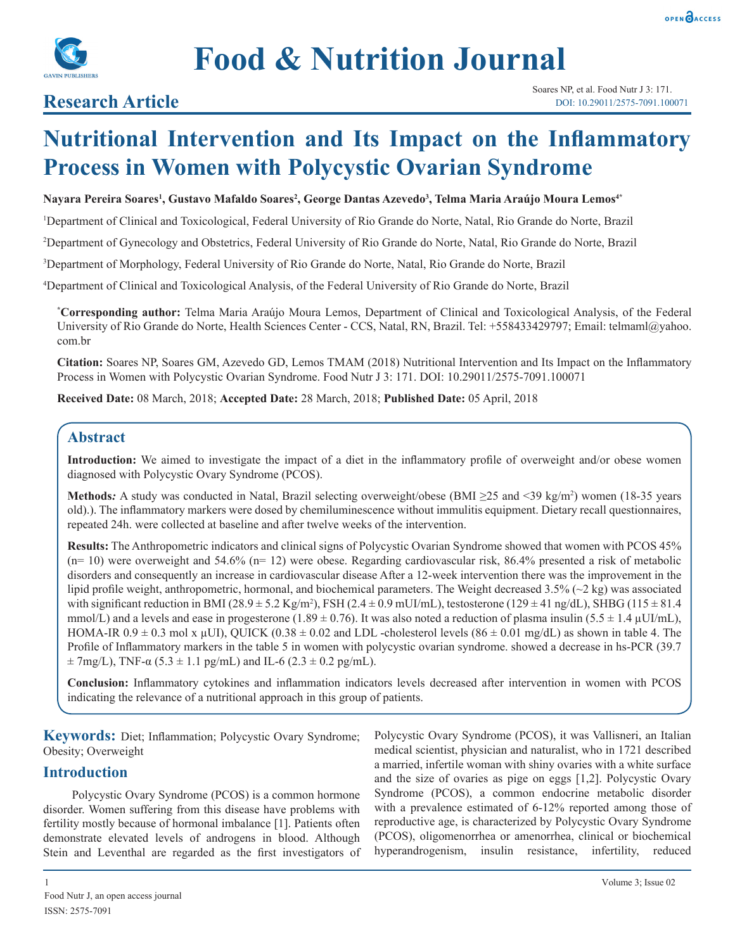



## **Research Article**

# **Nutritional Intervention and Its Impact on the Inflammatory Process in Women with Polycystic Ovarian Syndrome**

#### **Nayara Pereira Soares<sup>1</sup> , Gustavo Mafaldo Soares<sup>2</sup> , George Dantas Azevedo3 , Telma Maria Araújo Moura Lemos4\***

1 Department of Clinical and Toxicological, Federal University of Rio Grande do Norte, Natal, Rio Grande do Norte, Brazil

2 Department of Gynecology and Obstetrics, Federal University of Rio Grande do Norte, Natal, Rio Grande do Norte, Brazil

3 Department of Morphology, Federal University of Rio Grande do Norte, Natal, Rio Grande do Norte, Brazil

4 Department of Clinical and Toxicological Analysis, of the Federal University of Rio Grande do Norte, Brazil

**\* Corresponding author:** Telma Maria Araújo Moura Lemos, Department of Clinical and Toxicological Analysis, of the Federal University of Rio Grande do Norte, Health Sciences Center - CCS, Natal, RN, Brazil. Tel: +558433429797; Email: telmaml@yahoo. com.br

**Citation:** Soares NP, Soares GM, Azevedo GD, Lemos TMAM (2018) Nutritional Intervention and Its Impact on the Inflammatory Process in Women with Polycystic Ovarian Syndrome. Food Nutr J 3: 171. DOI: 10.29011/2575-7091.100071

**Received Date:** 08 March, 2018; **Accepted Date:** 28 March, 2018; **Published Date:** 05 April, 2018

## **Abstract**

**Introduction:** We aimed to investigate the impact of a diet in the inflammatory profile of overweight and/or obese women diagnosed with Polycystic Ovary Syndrome (PCOS).

Methods: A study was conducted in Natal, Brazil selecting overweight/obese (BMI ≥25 and <39 kg/m<sup>2</sup>) women (18-35 years old).). The inflammatory markers were dosed by chemiluminescence without immulitis equipment. Dietary recall questionnaires, repeated 24h. were collected at baseline and after twelve weeks of the intervention.

**Results:** The Anthropometric indicators and clinical signs of Polycystic Ovarian Syndrome showed that women with PCOS 45%  $(n= 10)$  were overweight and 54.6%  $(n= 12)$  were obese. Regarding cardiovascular risk, 86.4% presented a risk of metabolic disorders and consequently an increase in cardiovascular disease After a 12-week intervention there was the improvement in the lipid profile weight, anthropometric, hormonal, and biochemical parameters. The Weight decreased 3.5% (~2 kg) was associated with significant reduction in BMI (28.9  $\pm$  5.2 Kg/m<sup>2</sup>), FSH (2.4  $\pm$  0.9 mUI/mL), testosterone (129  $\pm$  41 ng/dL), SHBG (115  $\pm$  81.4 mmol/L) and a levels and ease in progesterone (1.89  $\pm$  0.76). It was also noted a reduction of plasma insulin (5.5  $\pm$  1.4  $\mu$ UI/mL), HOMA-IR  $0.9 \pm 0.3$  mol x  $\mu$ UI), QUICK (0.38  $\pm$  0.02 and LDL -cholesterol levels (86  $\pm$  0.01 mg/dL) as shown in table 4. The Profile of Inflammatory markers in the table 5 in women with polycystic ovarian syndrome. showed a decrease in hs-PCR (39.7  $\pm$  7mg/L), TNF- $\alpha$  (5.3  $\pm$  1.1 pg/mL) and IL-6 (2.3  $\pm$  0.2 pg/mL).

**Conclusion:** Inflammatory cytokines and inflammation indicators levels decreased after intervention in women with PCOS indicating the relevance of a nutritional approach in this group of patients.

**Keywords:** Diet; Inflammation; Polycystic Ovary Syndrome; Obesity; Overweight

#### **Introduction**

Polycystic Ovary Syndrome (PCOS) is a common hormone disorder. Women suffering from this disease have problems with fertility mostly because of hormonal imbalance [1]. Patients often demonstrate elevated levels of androgens in blood. Although Stein and Leventhal are regarded as the first investigators of

Polycystic Ovary Syndrome (PCOS), it was Vallisneri, an Italian medical scientist, physician and naturalist, who in 1721 described a married, infertile woman with shiny ovaries with a white surface and the size of ovaries as pige on eggs [1,2]. Polycystic Ovary Syndrome (PCOS), a common endocrine metabolic disorder with a prevalence estimated of 6-12% reported among those of reproductive age, is characterized by Polycystic Ovary Syndrome (PCOS), oligomenorrhea or amenorrhea, clinical or biochemical hyperandrogenism, insulin resistance, infertility, reduced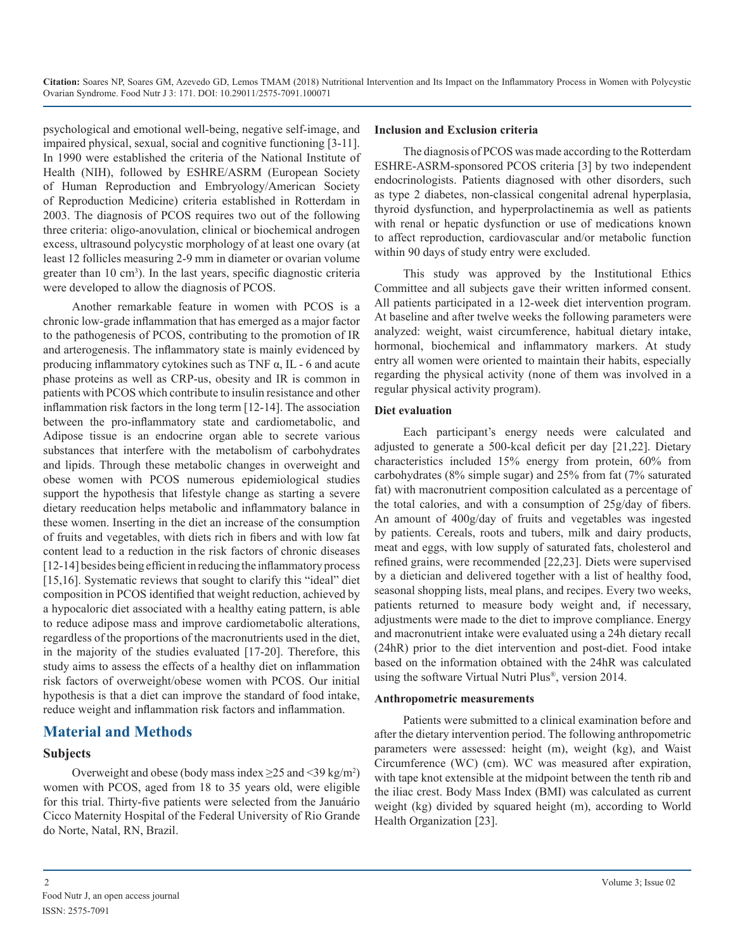psychological and emotional well-being, negative self-image, and impaired physical, sexual, social and cognitive functioning [3-11]. In 1990 were established the criteria of the National Institute of Health (NIH), followed by ESHRE/ASRM (European Society of Human Reproduction and Embryology/American Society of Reproduction Medicine) criteria established in Rotterdam in 2003. The diagnosis of PCOS requires two out of the following three criteria: oligo-anovulation, clinical or biochemical androgen excess, ultrasound polycystic morphology of at least one ovary (at least 12 follicles measuring 2-9 mm in diameter or ovarian volume greater than 10 cm<sup>3</sup>). In the last years, specific diagnostic criteria were developed to allow the diagnosis of PCOS.

Another remarkable feature in women with PCOS is a chronic low-grade inflammation that has emerged as a major factor to the pathogenesis of PCOS, contributing to the promotion of IR and arterogenesis. The inflammatory state is mainly evidenced by producing inflammatory cytokines such as TNF  $\alpha$ , IL - 6 and acute phase proteins as well as CRP-us, obesity and IR is common in patients with PCOS which contribute to insulin resistance and other inflammation risk factors in the long term [12-14]. The association between the pro-inflammatory state and cardiometabolic, and Adipose tissue is an endocrine organ able to secrete various substances that interfere with the metabolism of carbohydrates and lipids. Through these metabolic changes in overweight and obese women with PCOS numerous epidemiological studies support the hypothesis that lifestyle change as starting a severe dietary reeducation helps metabolic and inflammatory balance in these women. Inserting in the diet an increase of the consumption of fruits and vegetables, with diets rich in fibers and with low fat content lead to a reduction in the risk factors of chronic diseases [12-14] besides being efficient in reducing the inflammatory process [15,16]. Systematic reviews that sought to clarify this "ideal" diet composition in PCOS identified that weight reduction, achieved by a hypocaloric diet associated with a healthy eating pattern, is able to reduce adipose mass and improve cardiometabolic alterations, regardless of the proportions of the macronutrients used in the diet, in the majority of the studies evaluated [17-20]. Therefore, this study aims to assess the effects of a healthy diet on inflammation risk factors of overweight/obese women with PCOS. Our initial hypothesis is that a diet can improve the standard of food intake, reduce weight and inflammation risk factors and inflammation.

## **Material and Methods**

#### **Subjects**

Overweight and obese (body mass index  $\geq$  25 and <39 kg/m<sup>2</sup>) women with PCOS, aged from 18 to 35 years old, were eligible for this trial. Thirty-five patients were selected from the Januário Cicco Maternity Hospital of the Federal University of Rio Grande do Norte, Natal, RN, Brazil.

#### **Inclusion and Exclusion criteria**

The diagnosis of PCOS was made according to the Rotterdam ESHRE-ASRM-sponsored PCOS criteria [3] by two independent endocrinologists. Patients diagnosed with other disorders, such as type 2 diabetes, non-classical congenital adrenal hyperplasia, thyroid dysfunction, and hyperprolactinemia as well as patients with renal or hepatic dysfunction or use of medications known to affect reproduction, cardiovascular and/or metabolic function within 90 days of study entry were excluded.

This study was approved by the Institutional Ethics Committee and all subjects gave their written informed consent. All patients participated in a 12-week diet intervention program. At baseline and after twelve weeks the following parameters were analyzed: weight, waist circumference, habitual dietary intake, hormonal, biochemical and inflammatory markers. At study entry all women were oriented to maintain their habits, especially regarding the physical activity (none of them was involved in a regular physical activity program).

#### **Diet evaluation**

Each participant's energy needs were calculated and adjusted to generate a 500-kcal deficit per day [21,22]. Dietary characteristics included 15% energy from protein, 60% from carbohydrates (8% simple sugar) and 25% from fat (7% saturated fat) with macronutrient composition calculated as a percentage of the total calories, and with a consumption of 25g/day of fibers. An amount of 400g/day of fruits and vegetables was ingested by patients. Cereals, roots and tubers, milk and dairy products, meat and eggs, with low supply of saturated fats, cholesterol and refined grains, were recommended [22,23]. Diets were supervised by a dietician and delivered together with a list of healthy food, seasonal shopping lists, meal plans, and recipes. Every two weeks, patients returned to measure body weight and, if necessary, adjustments were made to the diet to improve compliance. Energy and macronutrient intake were evaluated using a 24h dietary recall (24hR) prior to the diet intervention and post-diet. Food intake based on the information obtained with the 24hR was calculated using the software Virtual Nutri Plus®, version 2014.

#### **Anthropometric measurements**

Patients were submitted to a clinical examination before and after the dietary intervention period. The following anthropometric parameters were assessed: height (m), weight (kg), and Waist Circumference (WC) (cm). WC was measured after expiration, with tape knot extensible at the midpoint between the tenth rib and the iliac crest. Body Mass Index (BMI) was calculated as current weight (kg) divided by squared height (m), according to World Health Organization [23].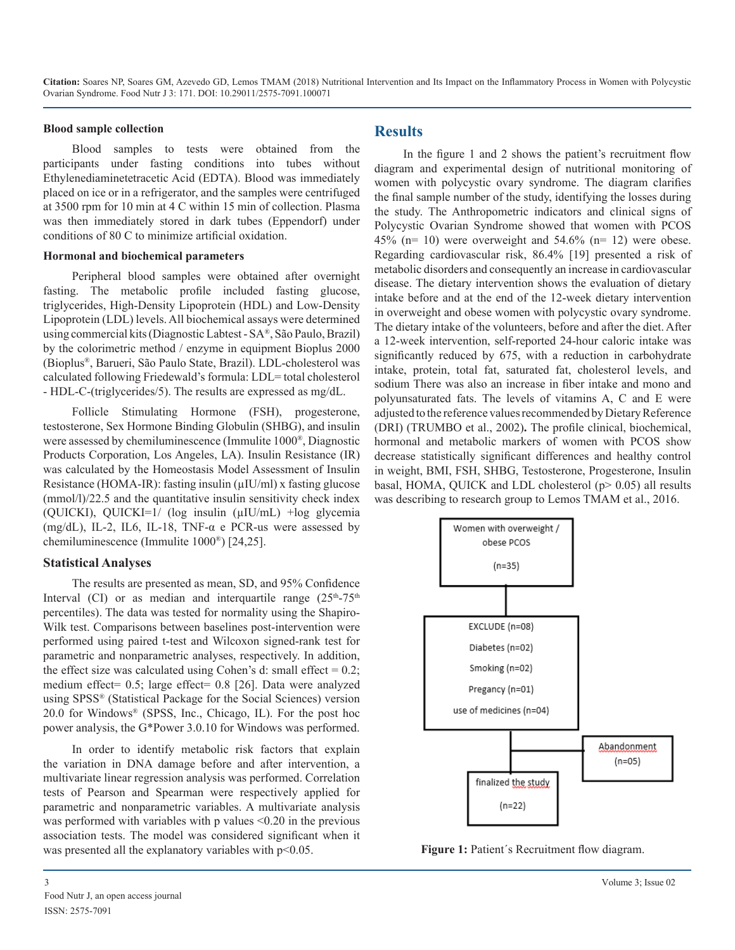#### **Blood sample collection**

Blood samples to tests were obtained from the participants under fasting conditions into tubes without Ethylenediaminetetracetic Acid (EDTA). Blood was immediately placed on ice or in a refrigerator, and the samples were centrifuged at 3500 rpm for 10 min at 4 C within 15 min of collection. Plasma was then immediately stored in dark tubes (Eppendorf) under conditions of 80 C to minimize artificial oxidation.

#### **Hormonal and biochemical parameters**

Peripheral blood samples were obtained after overnight fasting. The metabolic profile included fasting glucose, triglycerides, High-Density Lipoprotein (HDL) and Low-Density Lipoprotein (LDL) levels. All biochemical assays were determined using commercial kits (Diagnostic Labtest - SA®, São Paulo, Brazil) by the colorimetric method / enzyme in equipment Bioplus 2000 (Bioplus®, Barueri, São Paulo State, Brazil). LDL-cholesterol was calculated following Friedewald's formula: LDL= total cholesterol - HDL-C-(triglycerides/5). The results are expressed as mg/dL.

Follicle Stimulating Hormone (FSH), progesterone, testosterone, Sex Hormone Binding Globulin (SHBG), and insulin were assessed by chemiluminescence (Immulite 1000®, Diagnostic Products Corporation, Los Angeles, LA). Insulin Resistance (IR) was calculated by the Homeostasis Model Assessment of Insulin Resistance (HOMA-IR): fasting insulin (µIU/ml) x fasting glucose (mmol/l)/22.5 and the quantitative insulin sensitivity check index (OUICKI), OUICKI=1/ (log insulin  $(\mu I U/mL)$  +log glycemia (mg/dL), IL-2, IL6, IL-18, TNF- $\alpha$  e PCR-us were assessed by chemiluminescence (Immulite 1000®) [24,25].

#### **Statistical Analyses**

The results are presented as mean, SD, and 95% Confidence Interval (CI) or as median and interguartile range  $(25<sup>th</sup>-75<sup>th</sup>)$ percentiles). The data was tested for normality using the Shapiro-Wilk test. Comparisons between baselines post-intervention were performed using paired t-test and Wilcoxon signed-rank test for parametric and nonparametric analyses, respectively. In addition, the effect size was calculated using Cohen's d: small effect  $= 0.2$ ; medium effect= 0.5; large effect= 0.8 [26]. Data were analyzed using SPSS® (Statistical Package for the Social Sciences) version 20.0 for Windows® (SPSS, Inc., Chicago, IL). For the post hoc power analysis, the G\*Power 3.0.10 for Windows was performed.

In order to identify metabolic risk factors that explain the variation in DNA damage before and after intervention, a multivariate linear regression analysis was performed. Correlation tests of Pearson and Spearman were respectively applied for parametric and nonparametric variables. A multivariate analysis was performed with variables with p values <0.20 in the previous association tests. The model was considered significant when it was presented all the explanatory variables with  $p<0.05$ .

## **Results**

In the figure 1 and 2 shows the patient's recruitment flow diagram and experimental design of nutritional monitoring of women with polycystic ovary syndrome. The diagram clarifies the final sample number of the study, identifying the losses during the study. The Anthropometric indicators and clinical signs of Polycystic Ovarian Syndrome showed that women with PCOS 45% (n= 10) were overweight and  $54.6\%$  (n= 12) were obese. Regarding cardiovascular risk, 86.4% [19] presented a risk of metabolic disorders and consequently an increase in cardiovascular disease. The dietary intervention shows the evaluation of dietary intake before and at the end of the 12-week dietary intervention in overweight and obese women with polycystic ovary syndrome. The dietary intake of the volunteers, before and after the diet. After a 12-week intervention, self-reported 24-hour caloric intake was significantly reduced by 675, with a reduction in carbohydrate intake, protein, total fat, saturated fat, cholesterol levels, and sodium There was also an increase in fiber intake and mono and polyunsaturated fats. The levels of vitamins A, C and E were adjusted to the reference values recommended by Dietary Reference (DRI) (TRUMBO et al., 2002)**.** The profile clinical, biochemical, hormonal and metabolic markers of women with PCOS show decrease statistically significant differences and healthy control in weight, BMI, FSH, SHBG, Testosterone, Progesterone, Insulin basal, HOMA, QUICK and LDL cholesterol (p> 0.05) all results was describing to research group to Lemos TMAM et al., 2016.



**Figure 1:** Patient´s Recruitment flow diagram.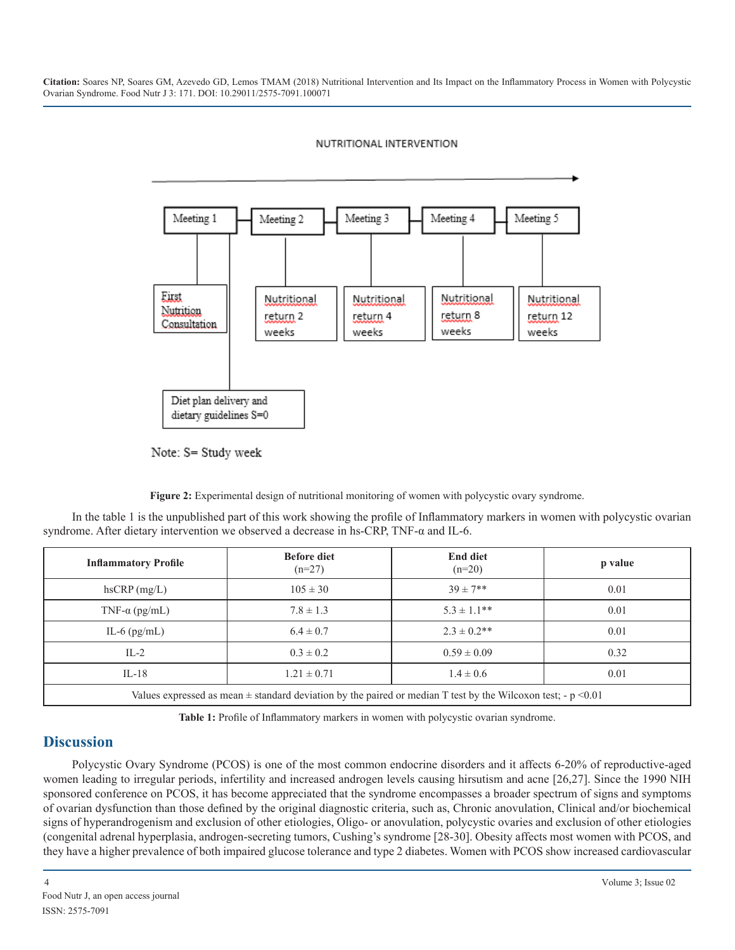#### NUTRITIONAL INTERVENTION



Note: S= Study week

**Figure 2:** Experimental design of nutritional monitoring of women with polycystic ovary syndrome.

In the table 1 is the unpublished part of this work showing the profile of Inflammatory markers in women with polycystic ovarian syndrome. After dietary intervention we observed a decrease in hs-CRP, TNF-α and IL-6.

| <b>Inflammatory Profile</b>                                                                                      | <b>Before diet</b><br>$(n=27)$ | <b>End diet</b><br>$(n=20)$ | p value |
|------------------------------------------------------------------------------------------------------------------|--------------------------------|-----------------------------|---------|
| $h$ s $CRP$ (mg/L)                                                                                               | $105 \pm 30$                   | $39 \pm 7**$                | 0.01    |
| TNF- $\alpha$ (pg/mL)                                                                                            | $7.8 \pm 1.3$                  | $5.3 \pm 1.1$ **            | 0.01    |
| IL-6 $(pg/mL)$                                                                                                   | $6.4 \pm 0.7$                  | $2.3 \pm 0.2$ **            | 0.01    |
| $IL-2$                                                                                                           | $0.3 \pm 0.2$                  | $0.59 \pm 0.09$             | 0.32    |
| $IL-18$                                                                                                          | $1.21 \pm 0.71$                | $1.4 \pm 0.6$               | 0.01    |
| Values expressed as mean $\pm$ standard deviation by the paired or median T test by the Wilcoxon test; - p <0.01 |                                |                             |         |

**Table 1:** Profile of Inflammatory markers in women with polycystic ovarian syndrome.

## **Discussion**

Polycystic Ovary Syndrome (PCOS) is one of the most common endocrine disorders and it affects 6-20% of reproductive-aged women leading to irregular periods, infertility and increased androgen levels causing hirsutism and acne [26,27]. Since the 1990 NIH sponsored conference on PCOS, it has become appreciated that the syndrome encompasses a broader spectrum of signs and symptoms of ovarian dysfunction than those defined by the original diagnostic criteria, such as, Chronic anovulation, Clinical and/or biochemical signs of hyperandrogenism and exclusion of other etiologies, Oligo- or anovulation, polycystic ovaries and exclusion of other etiologies (congenital adrenal hyperplasia, androgen-secreting tumors, Cushing's syndrome [28-30]. Obesity affects most women with PCOS, and they have a higher prevalence of both impaired glucose tolerance and type 2 diabetes. Women with PCOS show increased cardiovascular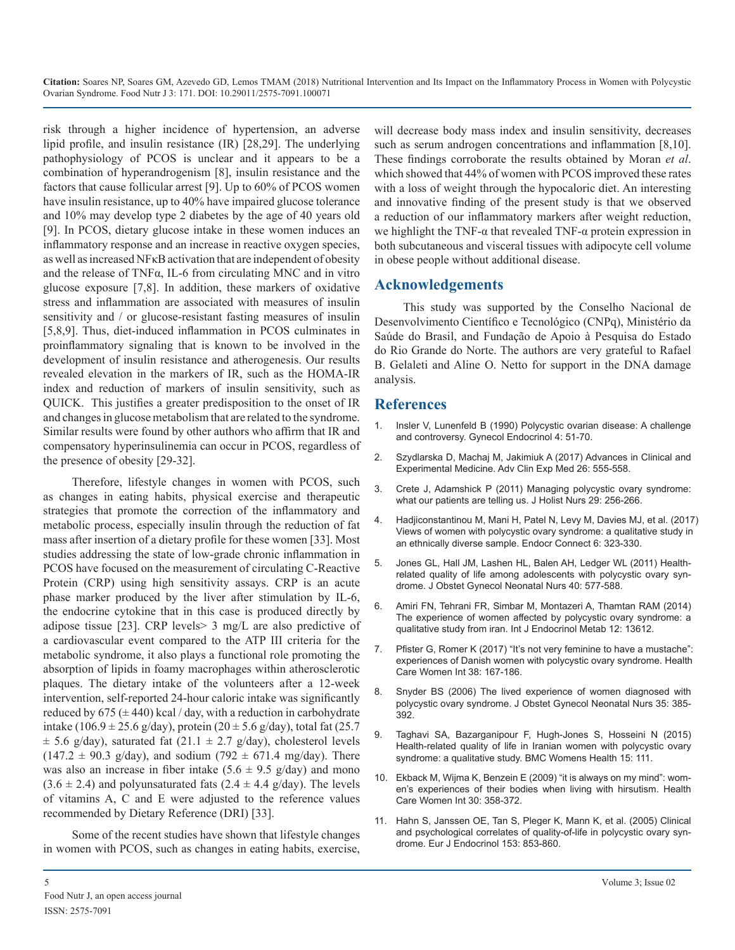risk through a higher incidence of hypertension, an adverse lipid profile, and insulin resistance (IR) [28,29]. The underlying pathophysiology of PCOS is unclear and it appears to be a combination of hyperandrogenism [8], insulin resistance and the factors that cause follicular arrest [9]. Up to 60% of PCOS women have insulin resistance, up to 40% have impaired glucose tolerance and 10% may develop type 2 diabetes by the age of 40 years old [9]. In PCOS, dietary glucose intake in these women induces an inflammatory response and an increase in reactive oxygen species, as well as increased NFκB activation that are independent of obesity and the release of TNFα, IL-6 from circulating MNC and in vitro glucose exposure [7,8]. In addition, these markers of oxidative stress and inflammation are associated with measures of insulin sensitivity and / or glucose-resistant fasting measures of insulin [5,8,9]. Thus, diet-induced inflammation in PCOS culminates in proinflammatory signaling that is known to be involved in the development of insulin resistance and atherogenesis. Our results revealed elevation in the markers of IR, such as the HOMA-IR index and reduction of markers of insulin sensitivity, such as QUICK. This justifies a greater predisposition to the onset of IR and changes in glucose metabolism that are related to the syndrome. [Similar results were found by other authors who affirm that IR and](https://www.ncbi.nlm.nih.gov/pubmed/2186596)  compensatory hyperinsulinemia can occur in PCOS, regardless of the presence of obesity [29-32].

Therefore, lifestyle changes in women with PCOS, such [as changes in eating habits, physical exercise and therapeutic](https://www.ncbi.nlm.nih.gov/pubmed/21357181)  strategies that promote the correction of the inflammatory and metabolic process, especially insulin through the reduction of fat mass after insertion of a dietary profile for these women [33]. Most studies addressing the state of low-grade chronic inflammation in PCOS have focused on the measurement of circulating C-Reactive Protein (CRP) using high sensitivity assays. CRP is an acute phase marker produced by the liver after stimulation by IL-6, the endocrine cytokine that in this case is produced directly by adipose tissue [23]. CRP levels> 3 mg/L are also predictive of a cardiovascular event compared to the ATP III criteria for the metabolic syndrome, it also plays a functional role promoting the absorption of lipids in foamy macrophages within atherosclerotic plaques. The dietary intake of the volunteers after a 12-week intervention, self-reported 24-hour caloric intake was significantly reduced by  $675 (\pm 440)$  kcal / day, with a reduction in carbohydrate intake (106.9 ± 25.6 g/day), protein (20 ± 5.6 g/day), total fat (25.7  $\pm$  5.6 g/day), saturated fat (21.1  $\pm$  2.7 g/day), cholesterol levels  $(147.2 \pm 90.3 \text{ g/day})$ , and sodium  $(792 \pm 671.4 \text{ mg/day})$ . There was also an increase in fiber intake  $(5.6 \pm 9.5 \text{ g/day})$  and mono  $(3.6 \pm 2.4)$  and polyunsaturated fats  $(2.4 \pm 4.4 \text{ g/day})$ . The levels of vitamins A, C and E were adjusted to the reference values recommended by Dietary Reference (DRI) [33].

Some of the recent studies have shown that lifestyle changes in women with PCOS, such as changes in eating habits, exercise, will decrease body mass index and insulin sensitivity, decreases such as serum androgen concentrations and inflammation [8,10]. These findings corroborate the results obtained by Moran *et al*. which showed that 44% of women with PCOS improved these rates with a loss of weight through the hypocaloric diet. An interesting and innovative finding of the present study is that we observed a reduction of our inflammatory markers after weight reduction, we highlight the TNF- $\alpha$  that revealed TNF- $\alpha$  protein expression in both subcutaneous and visceral tissues with adipocyte cell volume in obese people without additional disease.

#### **Acknowledgements**

This study was supported by the Conselho Nacional de Desenvolvimento Científico e Tecnológico (CNPq), Ministério da Saúde do Brasil, and Fundação de Apoio à Pesquisa do Estado do Rio Grande do Norte. The authors are very grateful to Rafael B. Gelaleti and Aline O. Netto for support in the DNA damage analysis.

## **References**

- 1. [Insler V, Lunenfeld B \(1990\) Polycystic ovarian disease: A challenge](https://www.ncbi.nlm.nih.gov/pubmed/2186596)  and controversy. Gynecol Endocrinol 4: 51-70.
- 2. [Szydlarska D, Machaj M, Jakimiuk A \(2017\) Advances in Clinical and](http://www.advances.umed.wroc.pl/en/home/) [Experimental Medicine. Adv Clin Exp Med 26: 555-558.](http://www.advances.umed.wroc.pl/en/home/)
- 3. [Crete J, Adamshick P \(2011\) Managing polycystic ovary syndrome:](https://www.ncbi.nlm.nih.gov/pubmed/21357181)  what our patients are telling us. J Holist Nurs 29: 256-266.
- 4. [Hadjiconstantinou M, Mani H, Patel N, Levy M, Davies MJ, et al. \(2017](https://www.ncbi.nlm.nih.gov/pubmed/28515051)) [Views of women with polycystic ovary syndrome: a qualitative study in](https://www.ncbi.nlm.nih.gov/pubmed/28515051)  [an ethnically diverse sample. Endocr Connect 6: 323-330.](https://www.ncbi.nlm.nih.gov/pubmed/28515051)
- 5. [Jones GL, Hall JM, Lashen HL, Balen AH, Ledger WL \(2011\) Health](https://www.ncbi.nlm.nih.gov/pubmed/22273414)[related quality of life among adolescents with polycystic ovary syn](https://www.ncbi.nlm.nih.gov/pubmed/22273414)[drome. J Obstet Gynecol Neonatal Nurs 40: 577-588.](https://www.ncbi.nlm.nih.gov/pubmed/22273414)
- 6. [Amiri FN, Tehrani FR, Simbar M, Montazeri A, Thamtan RAM \(2014\)](https://www.ncbi.nlm.nih.gov/pmc/articles/PMC4013493/)  [The experience of women affected by polycystic ovary syndrome: a](https://www.ncbi.nlm.nih.gov/pmc/articles/PMC4013493/)  [qualitative study from iran. Int J Endocrinol Metab 12: 13612.](https://www.ncbi.nlm.nih.gov/pmc/articles/PMC4013493/)
- 7. [Pfister G, Romer K \(2017\) "It's not very feminine to have a mustache":](https://www.ncbi.nlm.nih.gov/pubmed/27630044) [experiences of Danish women with polycystic ovary syndrome. Health](https://www.ncbi.nlm.nih.gov/pubmed/27630044)  [Care Women Int 38: 167-186.](https://www.ncbi.nlm.nih.gov/pubmed/27630044)
- 8. [Snyder BS \(2006\) The lived experience of women diagnosed with](https://www.ncbi.nlm.nih.gov/pubmed/16700688)  [polycystic ovary syndrome. J Obstet Gynecol Neonatal Nurs 35: 385-](https://www.ncbi.nlm.nih.gov/pubmed/16700688) [392.](https://www.ncbi.nlm.nih.gov/pubmed/16700688)
- 9. [Taghavi SA, Bazarganipour F, Hugh-Jones S, Hosseini N \(2015\)](https://www.ncbi.nlm.nih.gov/pubmed/26620588)  [Health-related quality of life in Iranian women with polycystic ovary](https://www.ncbi.nlm.nih.gov/pubmed/26620588)  [syndrome: a qualitative study. BMC Womens Health 15: 111.](https://www.ncbi.nlm.nih.gov/pubmed/26620588)
- 10. [Ekback M, Wijma K, Benzein E \(2009\) "it is always on my mind": wom](https://www.ncbi.nlm.nih.gov/pubmed/19350434)[en's experiences of their bodies when living with hirsutism. Health](https://www.ncbi.nlm.nih.gov/pubmed/19350434)  [Care Women Int 30: 358-372.](https://www.ncbi.nlm.nih.gov/pubmed/19350434)
- 11. [Hahn S, Janssen OE, Tan S, Pleger K, Mann K, et al. \(2005\) Clinical](https://www.ncbi.nlm.nih.gov/pubmed/16322391)  [and psychological correlates of quality-of-life in polycystic ovary syn](https://www.ncbi.nlm.nih.gov/pubmed/16322391)[drome. Eur J Endocrinol 153: 853-860.](https://www.ncbi.nlm.nih.gov/pubmed/16322391)